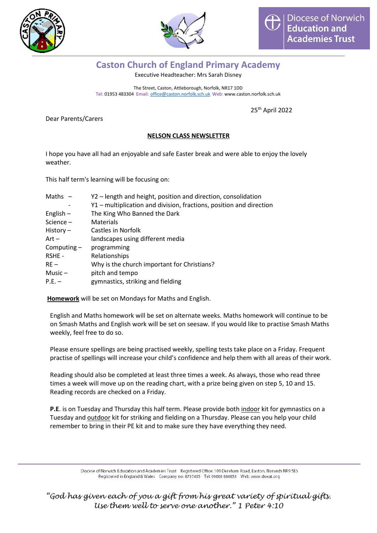



## **Caston Church of England Primary Academy**

Executive Headteacher: Mrs Sarah Disney

The Street, Caston, Attleborough, Norfolk, NR17 1DD Tel: 01953 483304 Email: [office@caston.norfolk.sch.uk](mailto:office@caston.norfolk.sch.uk) Web: www.caston.norfolk.sch.uk

25th April 2022

Dear Parents/Carers

#### **NELSON CLASS NEWSLETTER**

I hope you have all had an enjoyable and safe Easter break and were able to enjoy the lovely weather.

This half term's learning will be focusing on:

| Maths $-$     | Y2 – length and height, position and direction, consolidation       |
|---------------|---------------------------------------------------------------------|
|               | Y1 – multiplication and division, fractions, position and direction |
| English $-$   | The King Who Banned the Dark                                        |
| Science $-$   | Materials                                                           |
| History $-$   | Castles in Norfolk                                                  |
| $Art -$       | landscapes using different media                                    |
| Computing $-$ | programming                                                         |
| RSHE -        | Relationships                                                       |
| $RE -$        | Why is the church important for Christians?                         |
| Music $-$     | pitch and tempo                                                     |
| $P.E. -$      | gymnastics, striking and fielding                                   |
|               |                                                                     |

**Homework** will be set on Mondays for Maths and English.

English and Maths homework will be set on alternate weeks. Maths homework will continue to be on Smash Maths and English work will be set on seesaw. If you would like to practise Smash Maths weekly, feel free to do so.

Please ensure spellings are being practised weekly, spelling tests take place on a Friday. Frequent practise of spellings will increase your child's confidence and help them with all areas of their work.

Reading should also be completed at least three times a week. As always, those who read three times a week will move up on the reading chart, with a prize being given on step 5, 10 and 15. Reading records are checked on a Friday.

**P.E**. is on Tuesday and Thursday this half term. Please provide both *indoor* kit for gymnastics on a Tuesday and outdoor kit for striking and fielding on a Thursday. Please can you help your child remember to bring in their PE kit and to make sure they have everything they need.

> Diocese of Norwich Education and Academies Trust Registered Office: 109 Dereham Road, Easton, Norwich NR9 5ES Registered in England & Wales Company no: 8737435 Tel: 01603 880853 Web: www.dneat.org

*"God has given each of you a gift from his great variety of spiritual gifts. Use them well to serve one another." 1 Peter 4:10*